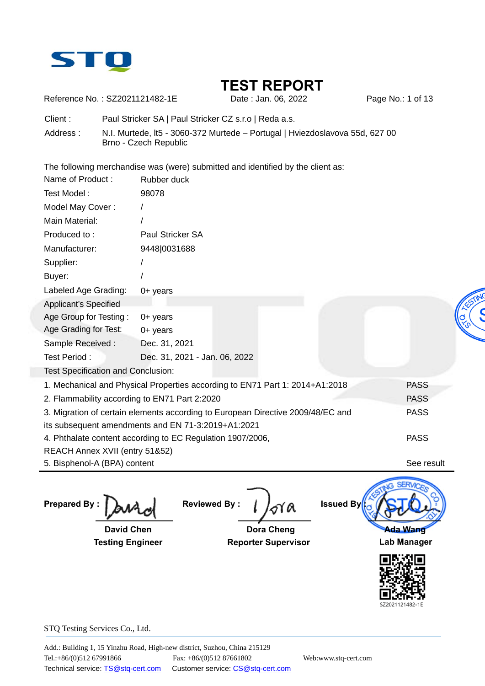

Reference No.: SZ2021121482-1E Date : Jan. 06, 2022 Page No.: 1 of 13

Client : Paul Stricker SA | Paul Stricker CZ s.r.o | Reda a.s.

Address : N.I. Murtede, lt5 - 3060-372 Murtede – Portugal | Hviezdoslavova 55d, 627 00 Brno - Czech Republic

The following merchandise was (were) submitted and identified by the client as:

| <b>Testing Engineer</b>                                    |                               | <b>Reporter Supervisor</b>                                                      |                  | <b>Lab Manager</b> |  |
|------------------------------------------------------------|-------------------------------|---------------------------------------------------------------------------------|------------------|--------------------|--|
| <b>David Chen</b>                                          |                               | <b>Dora Cheng</b>                                                               |                  | Ada Wang           |  |
| <b>Prepared By:</b>                                        | <b>Reviewed By:</b>           | Υa                                                                              | <b>Issued By</b> |                    |  |
| 5. Bisphenol-A (BPA) content                               |                               |                                                                                 |                  | See result         |  |
| REACH Annex XVII (entry 51&52)                             |                               |                                                                                 |                  |                    |  |
| 4. Phthalate content according to EC Regulation 1907/2006, |                               |                                                                                 |                  | <b>PASS</b>        |  |
| its subsequent amendments and EN 71-3:2019+A1:2021         |                               |                                                                                 |                  |                    |  |
|                                                            |                               | 3. Migration of certain elements according to European Directive 2009/48/EC and |                  | <b>PASS</b>        |  |
| 2. Flammability according to EN71 Part 2:2020              |                               |                                                                                 |                  | <b>PASS</b>        |  |
|                                                            |                               | 1. Mechanical and Physical Properties according to EN71 Part 1: 2014+A1:2018    |                  | <b>PASS</b>        |  |
| Test Specification and Conclusion:                         |                               |                                                                                 |                  |                    |  |
| Test Period:                                               | Dec. 31, 2021 - Jan. 06, 2022 |                                                                                 |                  |                    |  |
| Sample Received:                                           | Dec. 31, 2021                 |                                                                                 |                  |                    |  |
| Age Grading for Test:                                      | $0+$ years                    |                                                                                 |                  |                    |  |
| Age Group for Testing:                                     | $0+$ years                    |                                                                                 |                  |                    |  |
| Applicant's Specified                                      |                               |                                                                                 |                  |                    |  |
| Labeled Age Grading:                                       | $0+$ years                    |                                                                                 |                  |                    |  |
| Buyer:                                                     |                               |                                                                                 |                  |                    |  |
| Supplier:                                                  |                               |                                                                                 |                  |                    |  |
| Manufacturer:                                              | 9448 0031688                  |                                                                                 |                  |                    |  |
| Produced to:                                               | Paul Stricker SA              |                                                                                 |                  |                    |  |
| Main Material:                                             |                               |                                                                                 |                  |                    |  |
| Model May Cover:                                           |                               |                                                                                 |                  |                    |  |
| Test Model:                                                | 98078                         |                                                                                 |                  |                    |  |
| Name of Product:                                           | Rubber duck                   |                                                                                 |                  |                    |  |

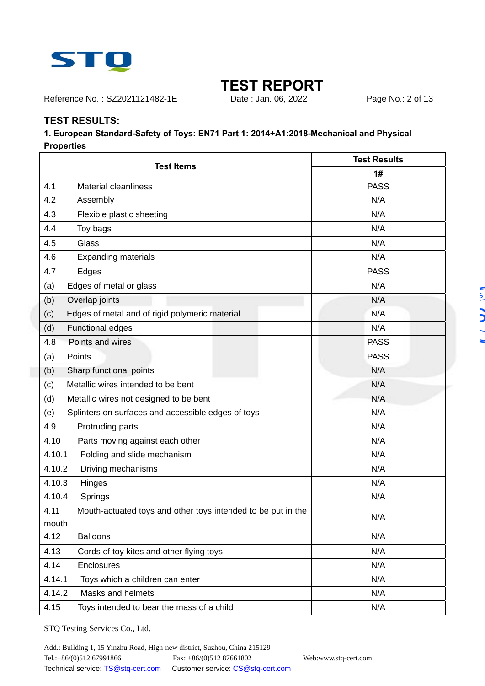

Reference No.: SZ2021121482-1E Date : Jan. 06, 2022 Page No.: 2 of 13

### **TEST RESULTS:**

#### **1. European Standard-Safety of Toys: EN71 Part 1: 2014+A1:2018-Mechanical and Physical Properties**

| <b>Test Items</b>                                                    | <b>Test Results</b> |  |  |
|----------------------------------------------------------------------|---------------------|--|--|
|                                                                      | 1#                  |  |  |
| 4.1<br><b>Material cleanliness</b>                                   | <b>PASS</b>         |  |  |
| 4.2<br>Assembly                                                      | N/A                 |  |  |
| 4.3<br>Flexible plastic sheeting                                     | N/A                 |  |  |
| 4.4<br>Toy bags                                                      | N/A                 |  |  |
| 4.5<br>Glass                                                         | N/A                 |  |  |
| 4.6<br><b>Expanding materials</b>                                    | N/A                 |  |  |
| 4.7<br>Edges                                                         | <b>PASS</b>         |  |  |
| Edges of metal or glass<br>(a)                                       | N/A                 |  |  |
| Overlap joints<br>(b)                                                | N/A                 |  |  |
| Edges of metal and of rigid polymeric material<br>(c)                | N/A                 |  |  |
| <b>Functional edges</b><br>(d)                                       | N/A                 |  |  |
| 4.8<br>Points and wires                                              | <b>PASS</b>         |  |  |
| Points<br>(a)                                                        | <b>PASS</b>         |  |  |
| Sharp functional points<br>(b)                                       | N/A                 |  |  |
| Metallic wires intended to be bent<br>(c)                            | N/A                 |  |  |
| (d)<br>Metallic wires not designed to be bent                        | N/A                 |  |  |
| Splinters on surfaces and accessible edges of toys<br>(e)            | N/A                 |  |  |
| 4.9<br>Protruding parts                                              | N/A                 |  |  |
| 4.10<br>Parts moving against each other                              | N/A                 |  |  |
| Folding and slide mechanism<br>4.10.1                                | N/A                 |  |  |
| 4.10.2<br>Driving mechanisms                                         | N/A                 |  |  |
| 4.10.3<br>Hinges                                                     | N/A                 |  |  |
| 4.10.4<br>Springs                                                    | N/A                 |  |  |
| 4.11<br>Mouth-actuated toys and other toys intended to be put in the | N/A                 |  |  |
| mouth                                                                |                     |  |  |
| 4.12<br><b>Balloons</b>                                              | N/A                 |  |  |
| 4.13<br>Cords of toy kites and other flying toys                     | N/A                 |  |  |
| 4.14<br>Enclosures                                                   | N/A                 |  |  |
| 4.14.1<br>Toys which a children can enter                            | N/A                 |  |  |
| 4.14.2<br>Masks and helmets                                          | N/A                 |  |  |
| 4.15<br>Toys intended to bear the mass of a child                    | N/A                 |  |  |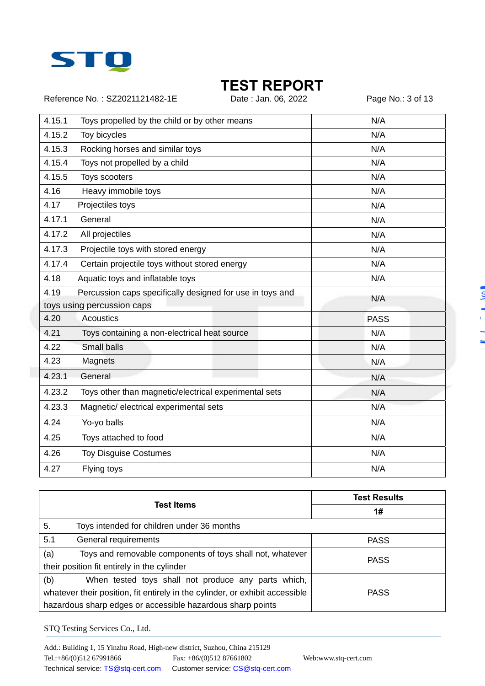

Reference No.: SZ2021121482-1E Date : Jan. 06, 2022 Page No.: 3 of 13

| 4.15.1 | Toys propelled by the child or by other means             | N/A         |
|--------|-----------------------------------------------------------|-------------|
| 4.15.2 | Toy bicycles                                              | N/A         |
| 4.15.3 | Rocking horses and similar toys                           | N/A         |
| 4.15.4 | Toys not propelled by a child                             | N/A         |
| 4.15.5 | Toys scooters                                             | N/A         |
| 4.16   | Heavy immobile toys                                       | N/A         |
| 4.17   | Projectiles toys                                          | N/A         |
| 4.17.1 | General                                                   | N/A         |
| 4.17.2 | All projectiles                                           | N/A         |
| 4.17.3 | Projectile toys with stored energy                        | N/A         |
| 4.17.4 | Certain projectile toys without stored energy             | N/A         |
| 4.18   | Aquatic toys and inflatable toys                          | N/A         |
| 4.19   | Percussion caps specifically designed for use in toys and | N/A         |
|        | toys using percussion caps                                |             |
| 4.20   | Acoustics                                                 | <b>PASS</b> |
| 4.21   | Toys containing a non-electrical heat source              | N/A         |
| 4.22   | <b>Small balls</b>                                        | N/A         |
| 4.23   | Magnets                                                   | N/A         |
| 4.23.1 | General                                                   | N/A         |
| 4.23.2 | Toys other than magnetic/electrical experimental sets     | N/A         |
| 4.23.3 | Magnetic/electrical experimental sets                     | N/A         |
| 4.24   | Yo-yo balls                                               | N/A         |
| 4.25   | Toys attached to food                                     | N/A         |
| 4.26   | <b>Toy Disguise Costumes</b>                              | N/A         |
| 4.27   | Flying toys                                               | N/A         |
|        |                                                           |             |

| <b>Test Items</b>                                                            |                                                            | <b>Test Results</b> |
|------------------------------------------------------------------------------|------------------------------------------------------------|---------------------|
|                                                                              |                                                            | 1#                  |
| 5.                                                                           | Toys intended for children under 36 months                 |                     |
| 5.1                                                                          | General requirements                                       | <b>PASS</b>         |
| (a)                                                                          | Toys and removable components of toys shall not, whatever  | <b>PASS</b>         |
|                                                                              | their position fit entirely in the cylinder                |                     |
| (b)                                                                          | When tested toys shall not produce any parts which,        |                     |
| whatever their position, fit entirely in the cylinder, or exhibit accessible |                                                            | <b>PASS</b>         |
|                                                                              | hazardous sharp edges or accessible hazardous sharp points |                     |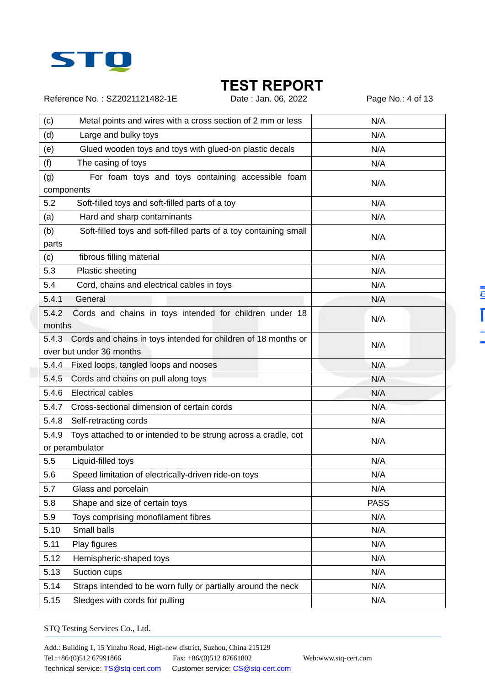

Reference No.: SZ2021121482-1E Date : Jan. 06, 2022 Page No.: 4 of 13

Ē

Ë

| (c)<br>Metal points and wires with a cross section of 2 mm or less                               | N/A         |
|--------------------------------------------------------------------------------------------------|-------------|
| (d)<br>Large and bulky toys                                                                      | N/A         |
| (e)<br>Glued wooden toys and toys with glued-on plastic decals                                   | N/A         |
| (f)<br>The casing of toys                                                                        | N/A         |
| For foam toys and toys containing accessible foam<br>(g)<br>components                           | N/A         |
| 5.2<br>Soft-filled toys and soft-filled parts of a toy                                           | N/A         |
| Hard and sharp contaminants<br>(a)                                                               | N/A         |
| (b)<br>Soft-filled toys and soft-filled parts of a toy containing small<br>parts                 | N/A         |
| fibrous filling material<br>(c)                                                                  | N/A         |
| 5.3<br>Plastic sheeting                                                                          | N/A         |
| 5.4<br>Cord, chains and electrical cables in toys                                                | N/A         |
| General<br>5.4.1                                                                                 | N/A         |
| 5.4.2<br>Cords and chains in toys intended for children under 18<br>months                       | N/A         |
| 5.4.3 Cords and chains in toys intended for children of 18 months or<br>over but under 36 months | N/A         |
| 5.4.4 Fixed loops, tangled loops and nooses                                                      | N/A         |
| 5.4.5<br>Cords and chains on pull along toys                                                     | N/A         |
| 5.4.6 Electrical cables                                                                          | N/A         |
| Cross-sectional dimension of certain cords<br>5.4.7                                              | N/A         |
| 5.4.8<br>Self-retracting cords                                                                   | N/A         |
| Toys attached to or intended to be strung across a cradle, cot<br>5.4.9<br>or perambulator       | N/A         |
| 5.5<br>Liquid-filled toys                                                                        | N/A         |
| 5.6<br>Speed limitation of electrically-driven ride-on toys                                      | N/A         |
| Glass and porcelain<br>5.7                                                                       | N/A         |
| 5.8<br>Shape and size of certain toys                                                            | <b>PASS</b> |
| 5.9<br>Toys comprising monofilament fibres                                                       | N/A         |
| Small balls<br>5.10                                                                              | N/A         |
| 5.11<br>Play figures                                                                             | N/A         |
| 5.12<br>Hemispheric-shaped toys                                                                  | N/A         |
| 5.13<br>Suction cups                                                                             | N/A         |
| Straps intended to be worn fully or partially around the neck<br>5.14                            | N/A         |
| 5.15<br>Sledges with cords for pulling                                                           | N/A         |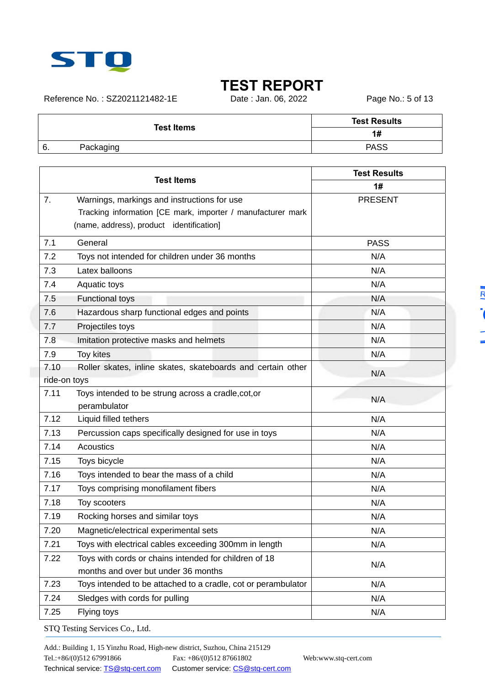

Reference No.: SZ2021121482-1E Date : Jan. 06, 2022 Page No.: 5 of 13

| <b>Test Items</b> |           | <b>Test Results</b> |
|-------------------|-----------|---------------------|
|                   |           | 1#                  |
| 6.                | Packaging | <b>PASS</b>         |
|                   |           |                     |

| 1#<br>7.<br>Warnings, markings and instructions for use<br><b>PRESENT</b><br>Tracking information [CE mark, importer / manufacturer mark<br>(name, address), product identification]<br>General<br>7.1<br><b>PASS</b><br>N/A<br>7.2<br>Toys not intended for children under 36 months<br>7.3<br>Latex balloons<br>N/A<br>7.4<br>Aquatic toys<br>N/A<br><b>Functional toys</b><br>N/A<br>7.5<br>Hazardous sharp functional edges and points<br>N/A<br>7.6<br>7.7<br>Projectiles toys<br>N/A<br>N/A<br>Imitation protective masks and helmets<br>7.8<br>7.9<br>Toy kites<br>N/A<br>7.10<br>Roller skates, inline skates, skateboards and certain other<br>N/A<br>ride-on toys<br>7.11<br>Toys intended to be strung across a cradle, cot, or<br>N/A<br>perambulator<br>7.12<br>Liquid filled tethers<br>N/A<br>7.13<br>Percussion caps specifically designed for use in toys<br>N/A<br>Acoustics<br>7.14<br>N/A<br>7.15<br>Toys bicycle<br>N/A<br>7.16<br>Toys intended to bear the mass of a child<br>N/A<br>7.17<br>Toys comprising monofilament fibers<br>N/A<br>7.18<br>Toy scooters<br>N/A<br>Rocking horses and similar toys<br>7.19<br>N/A<br>7.20<br>Magnetic/electrical experimental sets<br>N/A<br>7.21<br>Toys with electrical cables exceeding 300mm in length<br>N/A<br>Toys with cords or chains intended for children of 18<br>7.22<br>N/A<br>months and over but under 36 months<br>7.23<br>Toys intended to be attached to a cradle, cot or perambulator<br>N/A<br>7.24<br>Sledges with cords for pulling<br>N/A<br>7.25<br>Flying toys<br>N/A | <b>Test Items</b> |  | <b>Test Results</b> |  |  |
|---------------------------------------------------------------------------------------------------------------------------------------------------------------------------------------------------------------------------------------------------------------------------------------------------------------------------------------------------------------------------------------------------------------------------------------------------------------------------------------------------------------------------------------------------------------------------------------------------------------------------------------------------------------------------------------------------------------------------------------------------------------------------------------------------------------------------------------------------------------------------------------------------------------------------------------------------------------------------------------------------------------------------------------------------------------------------------------------------------------------------------------------------------------------------------------------------------------------------------------------------------------------------------------------------------------------------------------------------------------------------------------------------------------------------------------------------------------------------------------------------------------------------------------------------------------|-------------------|--|---------------------|--|--|
|                                                                                                                                                                                                                                                                                                                                                                                                                                                                                                                                                                                                                                                                                                                                                                                                                                                                                                                                                                                                                                                                                                                                                                                                                                                                                                                                                                                                                                                                                                                                                               |                   |  |                     |  |  |
|                                                                                                                                                                                                                                                                                                                                                                                                                                                                                                                                                                                                                                                                                                                                                                                                                                                                                                                                                                                                                                                                                                                                                                                                                                                                                                                                                                                                                                                                                                                                                               |                   |  |                     |  |  |
|                                                                                                                                                                                                                                                                                                                                                                                                                                                                                                                                                                                                                                                                                                                                                                                                                                                                                                                                                                                                                                                                                                                                                                                                                                                                                                                                                                                                                                                                                                                                                               |                   |  |                     |  |  |
|                                                                                                                                                                                                                                                                                                                                                                                                                                                                                                                                                                                                                                                                                                                                                                                                                                                                                                                                                                                                                                                                                                                                                                                                                                                                                                                                                                                                                                                                                                                                                               |                   |  |                     |  |  |
|                                                                                                                                                                                                                                                                                                                                                                                                                                                                                                                                                                                                                                                                                                                                                                                                                                                                                                                                                                                                                                                                                                                                                                                                                                                                                                                                                                                                                                                                                                                                                               |                   |  |                     |  |  |
|                                                                                                                                                                                                                                                                                                                                                                                                                                                                                                                                                                                                                                                                                                                                                                                                                                                                                                                                                                                                                                                                                                                                                                                                                                                                                                                                                                                                                                                                                                                                                               |                   |  |                     |  |  |
|                                                                                                                                                                                                                                                                                                                                                                                                                                                                                                                                                                                                                                                                                                                                                                                                                                                                                                                                                                                                                                                                                                                                                                                                                                                                                                                                                                                                                                                                                                                                                               |                   |  |                     |  |  |
|                                                                                                                                                                                                                                                                                                                                                                                                                                                                                                                                                                                                                                                                                                                                                                                                                                                                                                                                                                                                                                                                                                                                                                                                                                                                                                                                                                                                                                                                                                                                                               |                   |  |                     |  |  |
|                                                                                                                                                                                                                                                                                                                                                                                                                                                                                                                                                                                                                                                                                                                                                                                                                                                                                                                                                                                                                                                                                                                                                                                                                                                                                                                                                                                                                                                                                                                                                               |                   |  |                     |  |  |
|                                                                                                                                                                                                                                                                                                                                                                                                                                                                                                                                                                                                                                                                                                                                                                                                                                                                                                                                                                                                                                                                                                                                                                                                                                                                                                                                                                                                                                                                                                                                                               |                   |  |                     |  |  |
|                                                                                                                                                                                                                                                                                                                                                                                                                                                                                                                                                                                                                                                                                                                                                                                                                                                                                                                                                                                                                                                                                                                                                                                                                                                                                                                                                                                                                                                                                                                                                               |                   |  |                     |  |  |
|                                                                                                                                                                                                                                                                                                                                                                                                                                                                                                                                                                                                                                                                                                                                                                                                                                                                                                                                                                                                                                                                                                                                                                                                                                                                                                                                                                                                                                                                                                                                                               |                   |  |                     |  |  |
|                                                                                                                                                                                                                                                                                                                                                                                                                                                                                                                                                                                                                                                                                                                                                                                                                                                                                                                                                                                                                                                                                                                                                                                                                                                                                                                                                                                                                                                                                                                                                               |                   |  |                     |  |  |
|                                                                                                                                                                                                                                                                                                                                                                                                                                                                                                                                                                                                                                                                                                                                                                                                                                                                                                                                                                                                                                                                                                                                                                                                                                                                                                                                                                                                                                                                                                                                                               |                   |  |                     |  |  |
|                                                                                                                                                                                                                                                                                                                                                                                                                                                                                                                                                                                                                                                                                                                                                                                                                                                                                                                                                                                                                                                                                                                                                                                                                                                                                                                                                                                                                                                                                                                                                               |                   |  |                     |  |  |
|                                                                                                                                                                                                                                                                                                                                                                                                                                                                                                                                                                                                                                                                                                                                                                                                                                                                                                                                                                                                                                                                                                                                                                                                                                                                                                                                                                                                                                                                                                                                                               |                   |  |                     |  |  |
|                                                                                                                                                                                                                                                                                                                                                                                                                                                                                                                                                                                                                                                                                                                                                                                                                                                                                                                                                                                                                                                                                                                                                                                                                                                                                                                                                                                                                                                                                                                                                               |                   |  |                     |  |  |
|                                                                                                                                                                                                                                                                                                                                                                                                                                                                                                                                                                                                                                                                                                                                                                                                                                                                                                                                                                                                                                                                                                                                                                                                                                                                                                                                                                                                                                                                                                                                                               |                   |  |                     |  |  |
|                                                                                                                                                                                                                                                                                                                                                                                                                                                                                                                                                                                                                                                                                                                                                                                                                                                                                                                                                                                                                                                                                                                                                                                                                                                                                                                                                                                                                                                                                                                                                               |                   |  |                     |  |  |
|                                                                                                                                                                                                                                                                                                                                                                                                                                                                                                                                                                                                                                                                                                                                                                                                                                                                                                                                                                                                                                                                                                                                                                                                                                                                                                                                                                                                                                                                                                                                                               |                   |  |                     |  |  |
|                                                                                                                                                                                                                                                                                                                                                                                                                                                                                                                                                                                                                                                                                                                                                                                                                                                                                                                                                                                                                                                                                                                                                                                                                                                                                                                                                                                                                                                                                                                                                               |                   |  |                     |  |  |
|                                                                                                                                                                                                                                                                                                                                                                                                                                                                                                                                                                                                                                                                                                                                                                                                                                                                                                                                                                                                                                                                                                                                                                                                                                                                                                                                                                                                                                                                                                                                                               |                   |  |                     |  |  |
|                                                                                                                                                                                                                                                                                                                                                                                                                                                                                                                                                                                                                                                                                                                                                                                                                                                                                                                                                                                                                                                                                                                                                                                                                                                                                                                                                                                                                                                                                                                                                               |                   |  |                     |  |  |
|                                                                                                                                                                                                                                                                                                                                                                                                                                                                                                                                                                                                                                                                                                                                                                                                                                                                                                                                                                                                                                                                                                                                                                                                                                                                                                                                                                                                                                                                                                                                                               |                   |  |                     |  |  |
|                                                                                                                                                                                                                                                                                                                                                                                                                                                                                                                                                                                                                                                                                                                                                                                                                                                                                                                                                                                                                                                                                                                                                                                                                                                                                                                                                                                                                                                                                                                                                               |                   |  |                     |  |  |
|                                                                                                                                                                                                                                                                                                                                                                                                                                                                                                                                                                                                                                                                                                                                                                                                                                                                                                                                                                                                                                                                                                                                                                                                                                                                                                                                                                                                                                                                                                                                                               |                   |  |                     |  |  |
|                                                                                                                                                                                                                                                                                                                                                                                                                                                                                                                                                                                                                                                                                                                                                                                                                                                                                                                                                                                                                                                                                                                                                                                                                                                                                                                                                                                                                                                                                                                                                               |                   |  |                     |  |  |
|                                                                                                                                                                                                                                                                                                                                                                                                                                                                                                                                                                                                                                                                                                                                                                                                                                                                                                                                                                                                                                                                                                                                                                                                                                                                                                                                                                                                                                                                                                                                                               |                   |  |                     |  |  |
|                                                                                                                                                                                                                                                                                                                                                                                                                                                                                                                                                                                                                                                                                                                                                                                                                                                                                                                                                                                                                                                                                                                                                                                                                                                                                                                                                                                                                                                                                                                                                               |                   |  |                     |  |  |
|                                                                                                                                                                                                                                                                                                                                                                                                                                                                                                                                                                                                                                                                                                                                                                                                                                                                                                                                                                                                                                                                                                                                                                                                                                                                                                                                                                                                                                                                                                                                                               |                   |  |                     |  |  |
|                                                                                                                                                                                                                                                                                                                                                                                                                                                                                                                                                                                                                                                                                                                                                                                                                                                                                                                                                                                                                                                                                                                                                                                                                                                                                                                                                                                                                                                                                                                                                               |                   |  |                     |  |  |
|                                                                                                                                                                                                                                                                                                                                                                                                                                                                                                                                                                                                                                                                                                                                                                                                                                                                                                                                                                                                                                                                                                                                                                                                                                                                                                                                                                                                                                                                                                                                                               |                   |  |                     |  |  |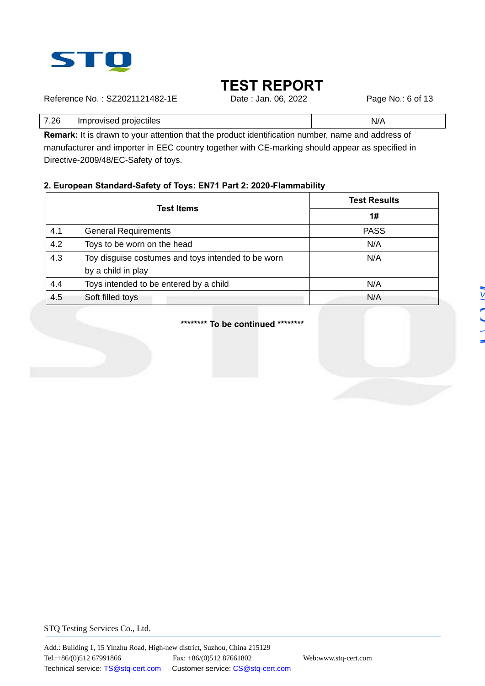

Reference No.: SZ2021121482-1E Date : Jan. 06, 2022 Page No.: 6 of 13

7.26 Improvised projectiles N/A

**Remark:** It is drawn to your attention that the product identification number, name and address of manufacturer and importer in EEC country together with CE-marking should appear as specified in Directive-2009/48/EC-Safety of toys.

### **2. European Standard-Safety of Toys: EN71 Part 2: 2020-Flammability**

|     |                                                    | <b>Test Results</b> |
|-----|----------------------------------------------------|---------------------|
|     | <b>Test Items</b>                                  | 1#                  |
| 4.1 | <b>General Requirements</b>                        | <b>PASS</b>         |
| 4.2 | Toys to be worn on the head                        | N/A                 |
| 4.3 | Toy disguise costumes and toys intended to be worn | N/A                 |
|     | by a child in play                                 |                     |
| 4.4 | Toys intended to be entered by a child             | N/A                 |
| 4.5 | Soft filled toys                                   | N/A                 |

**\*\*\*\*\*\*\*\* To be continued \*\*\*\*\*\*\*\***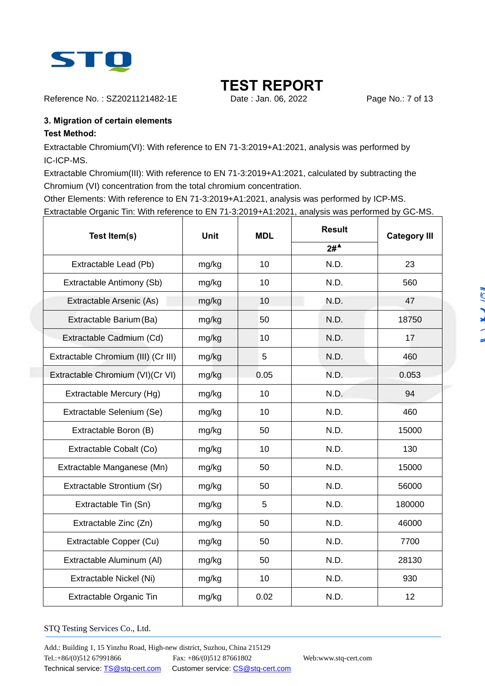

Reference No.: SZ2021121482-1E Date : Jan. 06, 2022 Page No.: 7 of 13

### **3. Migration of certain elements**

### **Test Method:**

Extractable Chromium(VI): With reference to EN 71-3:2019+A1:2021, analysis was performed by IC-ICP-MS.

Extractable Chromium(III): With reference to EN 71-3:2019+A1:2021, calculated by subtracting the Chromium (VI) concentration from the total chromium concentration.

Other Elements: With reference to EN 71-3:2019+A1:2021, analysis was performed by ICP-MS. Extractable Organic Tin: With reference to EN 71-3:2019+A1:2021, analysis was performed by GC-MS.

| Test Item(s)                        | <b>Unit</b> | <b>MDL</b> | <b>Result</b>    | <b>Category III</b><br>23<br>560 |
|-------------------------------------|-------------|------------|------------------|----------------------------------|
|                                     |             |            | $2#^{\triangle}$ |                                  |
| Extractable Lead (Pb)               | mg/kg       | 10         | N.D.             |                                  |
| Extractable Antimony (Sb)           | mg/kg       | 10         | N.D.             |                                  |
| Extractable Arsenic (As)            | mg/kg       | 10         | N.D.             | 47                               |
| Extractable Barium (Ba)             | mg/kg       | 50         | N.D.             | 18750                            |
| Extractable Cadmium (Cd)            | mg/kg       | 10         | N.D.             | 17                               |
| Extractable Chromium (III) (Cr III) | mg/kg       | 5          | N.D.             | 460                              |
| Extractable Chromium (VI)(Cr VI)    | mg/kg       | 0.05       | N.D.             | 0.053                            |
| Extractable Mercury (Hg)            | mg/kg       | 10         | N.D.             | 94                               |
| Extractable Selenium (Se)           | mg/kg       | 10         | N.D.             | 460                              |
| Extractable Boron (B)               | mg/kg       | 50         | N.D.             | 15000                            |
| Extractable Cobalt (Co)             | mg/kg       | 10         | N.D.             | 130                              |
| Extractable Manganese (Mn)          | mg/kg       | 50         | N.D.             | 15000                            |
| Extractable Strontium (Sr)          | mg/kg       | 50         | N.D.             | 56000                            |
| Extractable Tin (Sn)                | mg/kg       | 5          | N.D.             | 180000                           |
| Extractable Zinc (Zn)               | mg/kg       | 50         | N.D.             | 46000                            |
| Extractable Copper (Cu)             | mg/kg       | 50         | N.D.             | 7700                             |
| Extractable Aluminum (AI)           | mg/kg       | 50         | N.D.             | 28130                            |
| Extractable Nickel (Ni)             | mg/kg       | 10         | N.D.             | 930                              |
| Extractable Organic Tin             | mg/kg       | 0.02       | N.D.             | 12                               |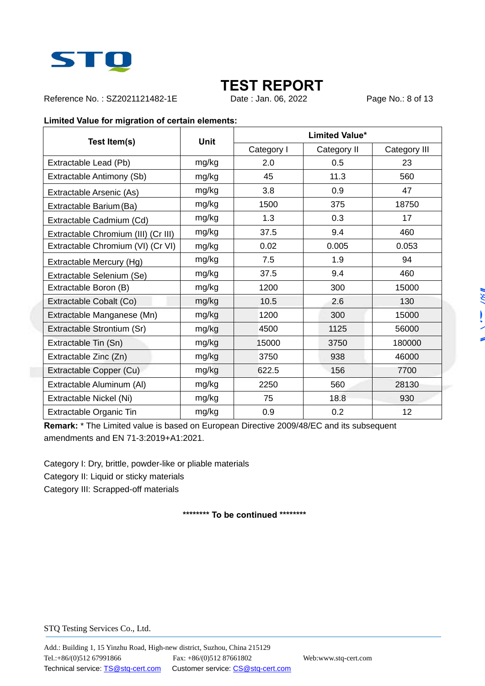

Reference No.: SZ2021121482-1E Date : Jan. 06, 2022 Page No.: 8 of 13

#### **Limited Value for migration of certain elements:**

| Test Item(s)                        | <b>Unit</b> | <b>Limited Value*</b> |             |              |
|-------------------------------------|-------------|-----------------------|-------------|--------------|
|                                     |             | Category I            | Category II | Category III |
| Extractable Lead (Pb)               | mg/kg       | 2.0                   | 0.5         | 23           |
| Extractable Antimony (Sb)           | mg/kg       | 45                    | 11.3        | 560          |
| Extractable Arsenic (As)            | mg/kg       | 3.8                   | 0.9         | 47           |
| Extractable Barium (Ba)             | mg/kg       | 1500                  | 375         | 18750        |
| Extractable Cadmium (Cd)            | mg/kg       | 1.3                   | 0.3         | 17           |
| Extractable Chromium (III) (Cr III) | mg/kg       | 37.5                  | 9.4         | 460          |
| Extractable Chromium (VI) (Cr VI)   | mg/kg       | 0.02                  | 0.005       | 0.053        |
| Extractable Mercury (Hg)            | mg/kg       | 7.5                   | 1.9         | 94           |
| Extractable Selenium (Se)           | mg/kg       | 37.5                  | 9.4         | 460          |
| Extractable Boron (B)               | mg/kg       | 1200                  | 300         | 15000        |
| Extractable Cobalt (Co)             | mg/kg       | 10.5                  | 2.6         | 130          |
| Extractable Manganese (Mn)          | mg/kg       | 1200                  | 300         | 15000        |
| Extractable Strontium (Sr)          | mg/kg       | 4500                  | 1125        | 56000        |
| Extractable Tin (Sn)                | mg/kg       | 15000                 | 3750        | 180000       |
| Extractable Zinc (Zn)               | mg/kg       | 3750                  | 938         | 46000        |
| Extractable Copper (Cu)             | mg/kg       | 622.5                 | 156         | 7700         |
| Extractable Aluminum (AI)           | mg/kg       | 2250                  | 560         | 28130        |
| Extractable Nickel (Ni)             | mg/kg       | 75                    | 18.8        | 930          |
| Extractable Organic Tin             | mg/kg       | 0.9                   | 0.2         | 12           |

**Remark:** \* The Limited value is based on European Directive 2009/48/EC and its subsequent amendments and EN 71-3:2019+A1:2021.

Category I: Dry, brittle, powder-like or pliable materials

Category II: Liquid or sticky materials

Category III: Scrapped-off materials

**\*\*\*\*\*\*\*\* To be continued \*\*\*\*\*\*\*\*** 

ž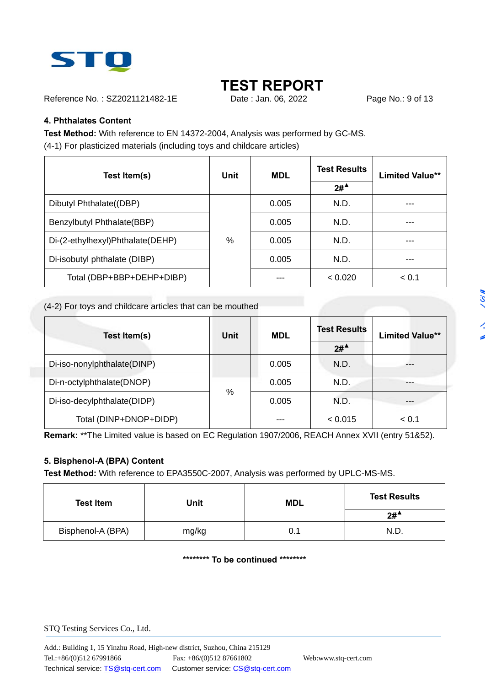

Reference No.: SZ2021121482-1E Date : Jan. 06, 2022 Page No.: 9 of 13

### **4. Phthalates Content**

**Test Method:** With reference to EN 14372-2004, Analysis was performed by GC-MS. (4-1) For plasticized materials (including toys and childcare articles)

| Test Item(s)                     | <b>Unit</b> | <b>MDL</b> | <b>Test Results</b>   | <b>Limited Value**</b> |
|----------------------------------|-------------|------------|-----------------------|------------------------|
|                                  |             |            | $2#^{\blacktriangle}$ |                        |
| Dibutyl Phthalate((DBP)          |             | 0.005      | N.D.                  |                        |
| Benzylbutyl Phthalate(BBP)       |             | 0.005      | N.D.                  | ---                    |
| Di-(2-ethylhexyl)Phthalate(DEHP) | %           | 0.005      | N.D.                  | ---                    |
| Di-isobutyl phthalate (DIBP)     |             | 0.005      | N.D.                  | ---                    |
| Total (DBP+BBP+DEHP+DIBP)        |             |            | < 0.020               | < 0.1                  |

#### (4-2) For toys and childcare articles that can be mouthed

| Test Item(s)                | <b>Unit</b> | <b>MDL</b> | <b>Test Results</b><br>$2#^4$ | <b>Limited Value**</b> |
|-----------------------------|-------------|------------|-------------------------------|------------------------|
| Di-iso-nonylphthalate(DINP) |             | 0.005      | N.D.                          | ---                    |
| Di-n-octylphthalate(DNOP)   | %           | 0.005      | N.D.                          |                        |
| Di-iso-decylphthalate(DIDP) |             | 0.005      | N.D.                          |                        |
| Total (DINP+DNOP+DIDP)      |             | ---        | < 0.015                       | < 0.1                  |

**Remark:** \*\*The Limited value is based on EC Regulation 1907/2006, REACH Annex XVII (entry 51&52).

### **5. Bisphenol-A (BPA) Content**

**Test Method:** With reference to EPA3550C-2007, Analysis was performed by UPLC-MS-MS.

| <b>Test Item</b>  | Unit  | <b>MDL</b> | <b>Test Results</b> |
|-------------------|-------|------------|---------------------|
|                   |       |            | $2#^4$              |
| Bisphenol-A (BPA) | mg/kg | 0.1        | N.D.                |

**\*\*\*\*\*\*\*\* To be continued \*\*\*\*\*\*\*\***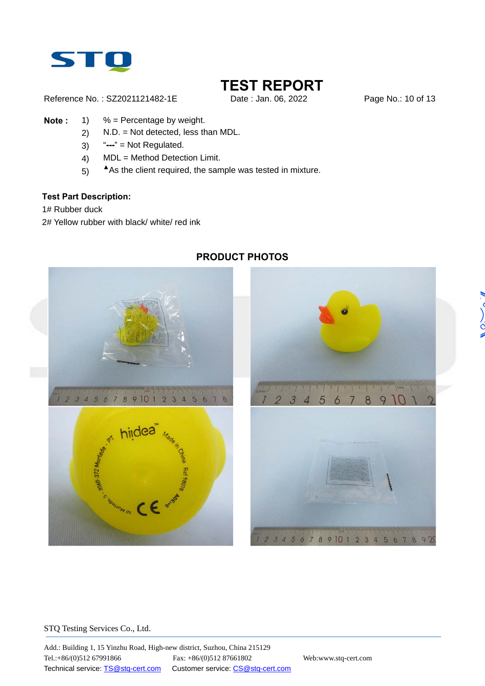

ć

Reference No.: SZ2021121482-1E Date: Jan. 06, 2022 Page No.: 10 of 13

- **Note :** 1) % = Percentage by weight.
	- 2) N.D. = Not detected, less than MDL.
	- 3) "**---**" = Not Regulated.
	- 4) MDL = Method Detection Limit.
	- 5) As the client required, the sample was tested in mixture.

#### **Test Part Description:**

1# Rubber duck

2# Yellow rubber with black/ white/ red ink



### **PRODUCT PHOTOS**



#### STQ Testing Services Co., Ltd.

Add.: Building 1, 15 Yinzhu Road, High-new district, Suzhou, China 215129 Tel.:+86/(0)512 67991866 Fax: +86/(0)512 87661802 Web:www.stq-cert.com Technical service: TS@stq-cert.com Customer service: CS@stq-cert.com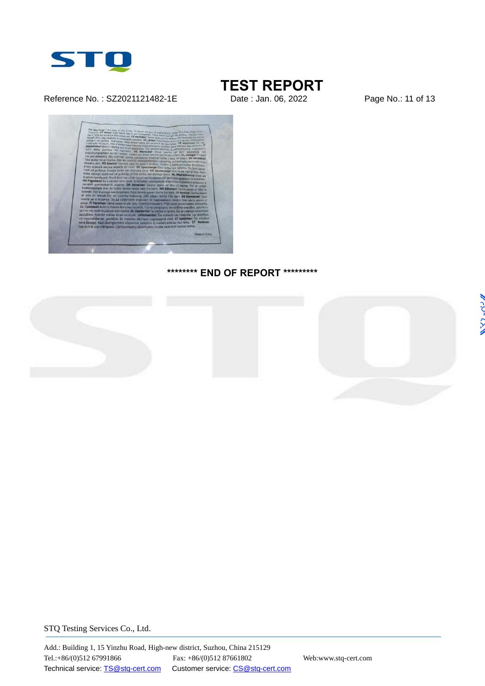

#### Reference No.: SZ2021121482-1E Date : Jan. 06, 2022 Page No.: 11 of 13

# **TEST REPORT**



#### **\*\*\*\*\*\*\*\* END OF REPORT \*\*\*\*\*\*\*\*\***

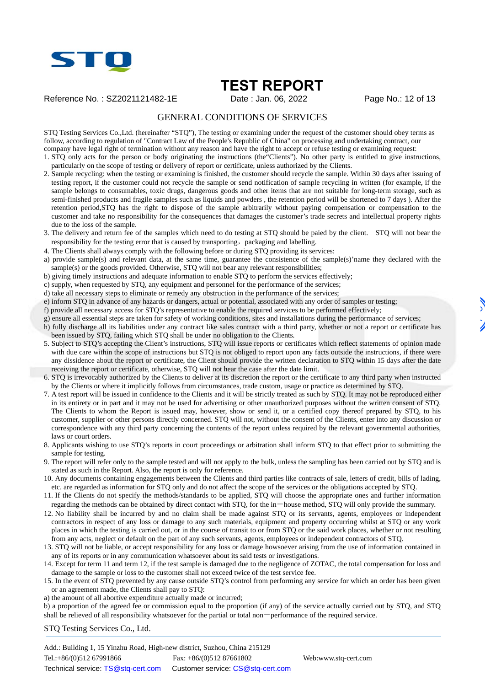

Reference No.: SZ2021121482-1E Date : Jan. 06, 2022 Page No.: 12 of 13

#### GENERAL CONDITIONS OF SERVICES

STQ Testing Services Co.,Ltd. (hereinafter "STQ"), The testing or examining under the request of the customer should obey terms as follow, according to regulation of "Contract Law of the People's Republic of China" on processing and undertaking contract, our company have legal right of termination without any reason and have the right to accept or refuse testing or examining request:

1. STQ only acts for the person or body originating the instructions (the"Clients"). No other party is entitled to give instructions, particularly on the scope of testing or delivery of report or certificate, unless authorized by the Clients.

- 2. Sample recycling: when the testing or examining is finished, the customer should recycle the sample. Within 30 days after issuing of testing report, if the customer could not recycle the sample or send notification of sample recycling in written (for example, if the sample belongs to consumables, toxic drugs, dangerous goods and other items that are not suitable for long-term storage, such as semi-finished products and fragile samples such as liquids and powders , the retention period will be shortened to 7 days ). After the retention period,STQ has the right to dispose of the sample arbitrarily without paying compensation or compensation to the customer and take no responsibility for the consequences that damages the customer's trade secrets and intellectual property rights due to the loss of the sample.
- 3. The delivery and return fee of the samples which need to do testing at STQ should be paied by the client. STQ will not bear the responsibility for the testing error that is caused by transporting, packaging and labelling.
- 4. The Clients shall always comply with the following before or during STQ providing its services:
- a) provide sample(s) and relevant data, at the same time, guarantee the consistence of the sample(s)'name they declared with the  $sample(s)$  or the goods provided. Otherwise, STQ will not bear any relevant responsibilities;
- b) giving timely instructions and adequate information to enable STQ to perform the services effectively;
- c) supply, when requested by STQ, any equipment and personnel for the performance of the services;
- d) take all necessary steps to eliminate or remedy any obstruction in the performance of the services;
- e) inform STQ in advance of any hazards or dangers, actual or potential, associated with any order of samples or testing;
- f) provide all necessary access for STQ's representative to enable the required services to be performed effectively;
- g) ensure all essential steps are taken for safety of working conditions, sites and installations during the performance of services;
- h) fully discharge all its liabilities under any contract like sales contract with a third party, whether or not a report or certificate has been issued by STQ, failing which STQ shall be under no obligation to the Clients.
- 5. Subject to STQ's accepting the Client's instructions, STQ will issue reports or certificates which reflect statements of opinion made with due care within the scope of instructions but STQ is not obliged to report upon any facts outside the instructions, if there were any dissidence about the report or certificate, the Client should provide the written declaration to STQ within 15 days after the date receiving the report or certificate, otherwise, STQ will not hear the case after the date limit.
- 6. STQ is irrevocably authorized by the Clients to deliver at its discretion the report or the certificate to any third party when instructed by the Clients or where it implicitly follows from circumstances, trade custom, usage or practice as determined by STQ.
- 7. A test report will be issued in confidence to the Clients and it will be strictly treated as such by STQ. It may not be reproduced either in its entirety or in part and it may not be used for advertising or other unauthorized purposes without the written consent of STQ. The Clients to whom the Report is issued may, however, show or send it, or a certified copy thereof prepared by STQ, to his customer, supplier or other persons directly concerned. STQ will not, without the consent of the Clients, enter into any discussion or correspondence with any third party concerning the contents of the report unless required by the relevant governmental authorities, laws or court orders.
- 8. Applicants wishing to use STQ's reports in court proceedings or arbitration shall inform STQ to that effect prior to submitting the sample for testing.
- 9. The report will refer only to the sample tested and will not apply to the bulk, unless the sampling has been carried out by STQ and is stated as such in the Report. Also, the report is only for reference.
- 10. Any documents containing engagements between the Clients and third parties like contracts of sale, letters of credit, bills of lading, etc. are regarded as information for STQ only and do not affect the scope of the services or the obligations accepted by STQ.
- 11. If the Clients do not specify the methods/standards to be applied, STQ will choose the appropriate ones and further information regarding the methods can be obtained by direct contact with STO, for the in-house method, STO will only provide the summary.
- 12. No liability shall be incurred by and no claim shall be made against STQ or its servants, agents, employees or independent contractors in respect of any loss or damage to any such materials, equipment and property occurring whilst at STQ or any work places in which the testing is carried out, or in the course of transit to or from STQ or the said work places, whether or not resulting from any acts, neglect or default on the part of any such servants, agents, employees or independent contractors of STQ.
- 13. STQ will not be liable, or accept responsibility for any loss or damage howsoever arising from the use of information contained in any of its reports or in any communication whatsoever about its said tests or investigations.
- 14. Except for term 11 and term 12, if the test sample is damaged due to the negligence of ZOTAC, the total compensation for loss and damage to the sample or loss to the customer shall not exceed twice of the test service fee.
- 15. In the event of STQ prevented by any cause outside STQ's control from performing any service for which an order has been given or an agreement made, the Clients shall pay to STQ:
- a) the amount of all abortive expenditure actually made or incurred;

b) a proportion of the agreed fee or commission equal to the proportion (if any) of the service actually carried out by STQ, and STQ shall be relieved of all responsibility whatsoever for the partial or total non-performance of the required service.

STQ Testing Services Co., Ltd.

Add.: Building 1, 15 Yinzhu Road, High-new district, Suzhou, China 215129 Tel.:+86/(0)512 67991866 Fax: +86/(0)512 87661802 Web:www.stq-cert.com Technical service: TS@stq-cert.com Customer service: CS@stq-cert.com